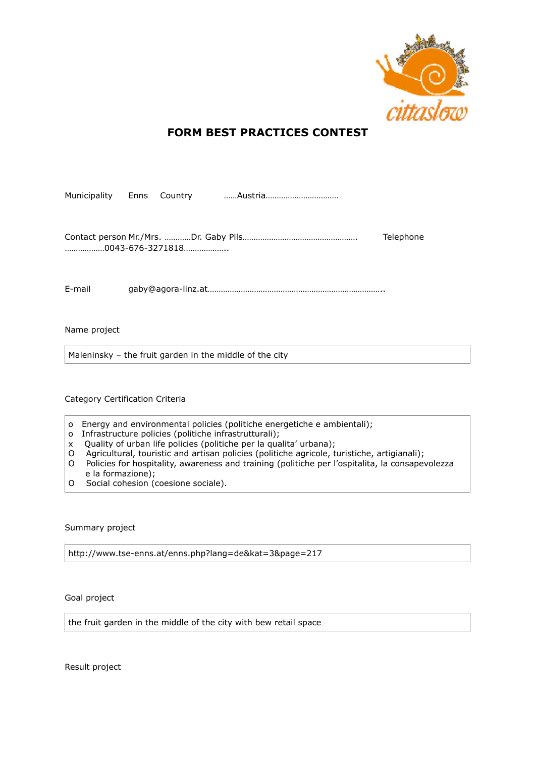

## **FORM BEST PRACTICES CONTEST**

Municipality Enns Country ……Austria……………………………

Contact person Mr./Mrs. …………Dr. Gaby Pils……………………………………………. Telephone ………………0043-676-3271818………………..

E-mail gaby@agora-linz.at……………………………………………………………………..

Name project

Maleninsky – the fruit garden in the middle of the city

Category Certification Criteria

- o Energy and environmental policies (politiche energetiche e ambientali);
- o Infrastructure policies (politiche infrastrutturali);
- x Quality of urban life policies (politiche per la qualita' urbana);
- O Agricultural, touristic and artisan policies (politiche agricole, turistiche, artigianali);
- O Policies for hospitality, awareness and training (politiche per l'ospitalita, la consapevolezza e la formazione);
- O Social cohesion (coesione sociale).

Summary project

http://www.tse-enns.at/enns.php?lang=de&kat=3&page=217

Goal project

the fruit garden in the middle of the city with bew retail space

Result project